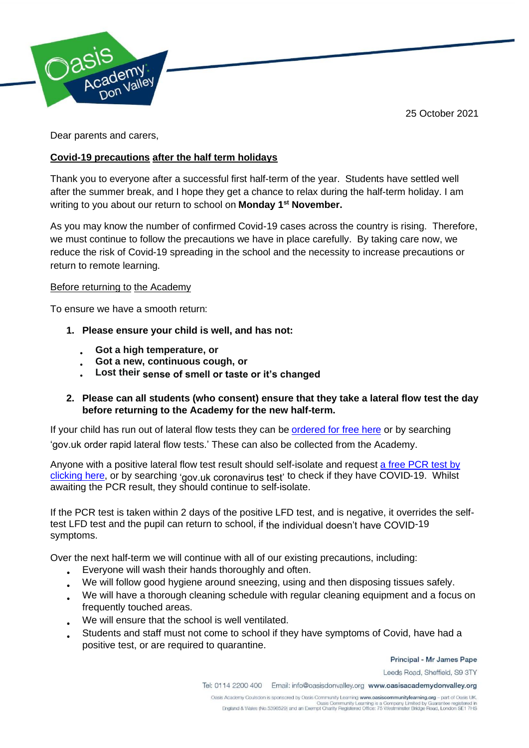25 October 2021



Dear parents and carers,

## **Covid-19 precautions after the half term holidays**

Thank you to everyone after a successful first half-term of the year. Students have settled well after the summer break, and I hope they get a chance to relax during the half-term holiday. I am writing to you about our return to school on **Monday 1 st November.**

As you may know the number of confirmed Covid-19 cases across the country is rising. Therefore, we must continue to follow the precautions we have in place carefully. By taking care now, we reduce the risk of Covid-19 spreading in the school and the necessity to increase precautions or return to remote learning.

## Before returning to the Academy

To ensure we have a smooth return:

- **1. Please ensure your child is well, and has not:**
	- **Got a high temperature, or**
	- **Got a new, continuous cough, or**
	- **Lost their sense of smell or taste or it's changed**

## **2. Please can all students (who consent) ensure that they take a lateral flow test the day before returning to the Academy for the new half-term.**

If your child has run out of lateral flow tests they can be [ordered for free here](https://www.gov.uk/order-coronavirus-rapid-lateral-flow-tests) or by searching 'gov.uk order rapid lateral flow tests.' These can also be collected from the [Aca](https://www.gov.uk/order-coronavirus-rapid-lateral-flow-tests)demy.

Anyone with a positive lateral flow test result should self-isolate and request [a free PCR test by](https://www.gov.uk/get-coronavirus-test) [clicking here,](https://www.gov.uk/get-coronavirus-test) or by searching 'gov.uk coronavirus test' to check if they hav[e C](https://www.gov.uk/get-coronavirus-test)OVID-19. Whilst awaiting the [P](https://www.gov.uk/get-coronavirus-test)CR result, they should continue to self-isolate.

If the PCR test is taken within 2 days of the positive LFD test, and is negative, it overrides the selftest LFD test and the pupil can return to school, if the individual doesn't have COVID-19 symptoms.

Over the next half-term we will continue with all of our existing precautions, including:

- Everyone will wash their hands thoroughly and often.
- We will follow good hygiene around sneezing, using and then disposing tissues safely.
- We will have a thorough cleaning schedule with regular cleaning equipment and a focus on frequently touched areas.
- We will ensure that the school is well ventilated.
- Students and staff must not come to school if they have symptoms of Covid, have had a positive test, or are required to quarantine.

Principal - Mr James Pape

Leeds Road, Sheffield, S9 3TY

Tel: 0114 2200 400 Email: info@oasisdonvalley.org www.oasisacademydonvalley.org

Oasis Academy Coulsdon is sponsored by Oasis Community Learning www.oasiscommunitylearning.org - part of Oasis UK.<br>Casis Community Learning is a Company Limited by Guarantee registered in<br>England & Wales (No.5398529) and a